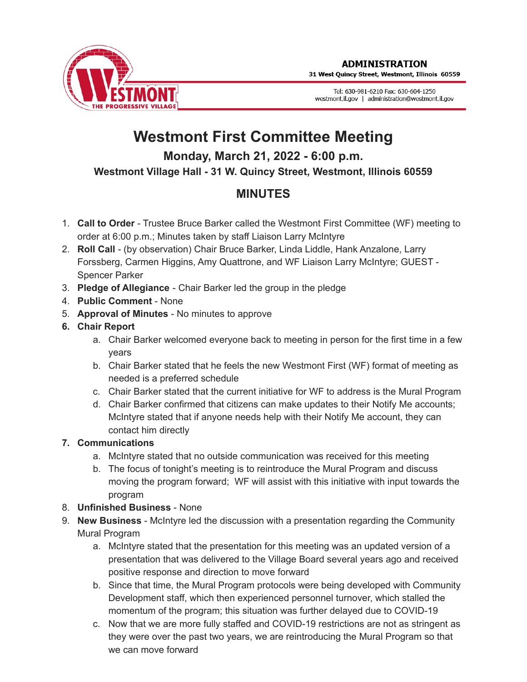

31 West Quincy Street, Westmont, Illinois 60559

Tel: 630-981-6210 Fax: 630-604-1250 westmont.il.gov | administration@westmont.il.gov

## **Westmont First Committee Meeting Monday, March 21, 2022 - 6:00 p.m.**

**Westmont Village Hall - 31 W. Quincy Street, Westmont, Illinois 60559**

## **MINUTES**

- 1. **Call to Order** Trustee Bruce Barker called the Westmont First Committee (WF) meeting to order at 6:00 p.m.; Minutes taken by staff Liaison Larry McIntyre
- 2. **Roll Call** (by observation) Chair Bruce Barker, Linda Liddle, Hank Anzalone, Larry Forssberg, Carmen Higgins, Amy Quattrone, and WF Liaison Larry McIntyre; GUEST - Spencer Parker
- 3. **Pledge of Allegiance** Chair Barker led the group in the pledge
- 4. **Public Comment** None
- 5. **Approval of Minutes** No minutes to approve
- **6. Chair Report**
	- a. Chair Barker welcomed everyone back to meeting in person for the first time in a few years
	- b. Chair Barker stated that he feels the new Westmont First (WF) format of meeting as needed is a preferred schedule
	- c. Chair Barker stated that the current initiative for WF to address is the Mural Program
	- d. Chair Barker confirmed that citizens can make updates to their Notify Me accounts; McIntyre stated that if anyone needs help with their Notify Me account, they can contact him directly

## **7. Communications**

- a. McIntyre stated that no outside communication was received for this meeting
- b. The focus of tonight's meeting is to reintroduce the Mural Program and discuss moving the program forward; WF will assist with this initiative with input towards the program
- 8. **Unfinished Business** None
- 9. **New Business** McIntyre led the discussion with a presentation regarding the Community Mural Program
	- a. McIntyre stated that the presentation for this meeting was an updated version of a presentation that was delivered to the Village Board several years ago and received positive response and direction to move forward
	- b. Since that time, the Mural Program protocols were being developed with Community Development staff, which then experienced personnel turnover, which stalled the momentum of the program; this situation was further delayed due to COVID-19
	- c. Now that we are more fully staffed and COVID-19 restrictions are not as stringent as they were over the past two years, we are reintroducing the Mural Program so that we can move forward